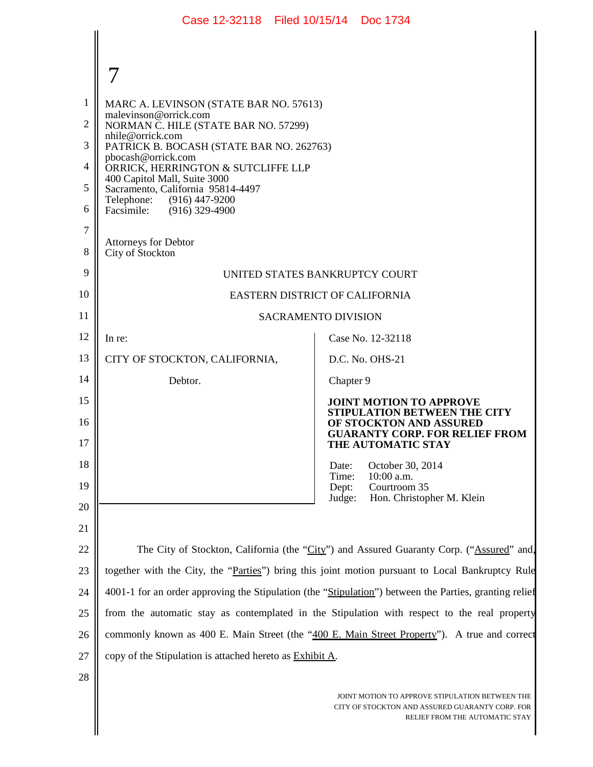|                     | Case 12-32118 Filed 10/15/14 Doc 1734                                                                  |                                                                                        |  |
|---------------------|--------------------------------------------------------------------------------------------------------|----------------------------------------------------------------------------------------|--|
|                     |                                                                                                        |                                                                                        |  |
|                     |                                                                                                        |                                                                                        |  |
| 1                   | MARC A. LEVINSON (STATE BAR NO. 57613)                                                                 |                                                                                        |  |
| $\overline{2}$      | malevinson@orrick.com<br>NORMAN C. HILE (STATE BAR NO. 57299)<br>nhile@orrick.com                      |                                                                                        |  |
| 3                   | PATRICK B. BOCASH (STATE BAR NO. 262763)<br>pbocash@orrick.com                                         |                                                                                        |  |
| 4                   | ORRICK, HERRINGTON & SUTCLIFFE LLP<br>400 Capitol Mall, Suite 3000                                     |                                                                                        |  |
| 5                   | Sacramento, California 95814-4497<br>Telephone: (916) 447-9200                                         |                                                                                        |  |
| 6                   | Facsimile: (916) 329-4900                                                                              |                                                                                        |  |
| $\overline{7}$<br>8 | <b>Attorneys for Debtor</b><br>City of Stockton                                                        |                                                                                        |  |
| 9                   | UNITED STATES BANKRUPTCY COURT                                                                         |                                                                                        |  |
| 10                  | EASTERN DISTRICT OF CALIFORNIA                                                                         |                                                                                        |  |
| 11                  | <b>SACRAMENTO DIVISION</b>                                                                             |                                                                                        |  |
| 12                  | In re:                                                                                                 | Case No. 12-32118                                                                      |  |
| 13                  | CITY OF STOCKTON, CALIFORNIA,                                                                          | D.C. No. OHS-21                                                                        |  |
| 14                  | Debtor.                                                                                                | Chapter 9                                                                              |  |
| 15                  |                                                                                                        | <b>JOINT MOTION TO APPROVE</b><br>STIPULATION BETWEEN THE CITY                         |  |
| 16<br>17            |                                                                                                        | OF STOCKTON AND ASSURED<br><b>GUARANTY CORP. FOR RELIEF FROM</b><br>THE AUTOMATIC STAY |  |
| 18                  |                                                                                                        | October 30, 2014<br>Date:                                                              |  |
| 19                  |                                                                                                        | Time:<br>10:00 a.m.<br>Courtroom 35<br>Dept:                                           |  |
| 20                  |                                                                                                        | Hon. Christopher M. Klein<br>Judge:                                                    |  |
| 21                  |                                                                                                        |                                                                                        |  |
| 22                  | The City of Stockton, California (the "City") and Assured Guaranty Corp. ("Assured" and,               |                                                                                        |  |
| 23                  | together with the City, the "Parties") bring this joint motion pursuant to Local Bankruptcy Rule       |                                                                                        |  |
| 24                  | 4001-1 for an order approving the Stipulation (the "Stipulation") between the Parties, granting relief |                                                                                        |  |
| 25                  | from the automatic stay as contemplated in the Stipulation with respect to the real property           |                                                                                        |  |
| 26                  | commonly known as 400 E. Main Street (the "400 E. Main Street Property"). A true and correct           |                                                                                        |  |
| 27                  | copy of the Stipulation is attached hereto as Exhibit A.                                               |                                                                                        |  |
| 28                  |                                                                                                        |                                                                                        |  |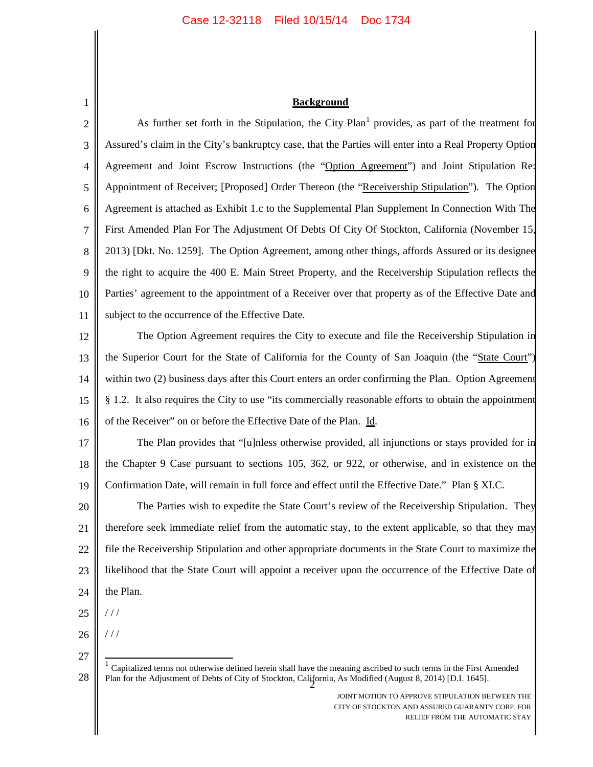### **Background**

1 2 3 4 5 6 7 8 9 10 11 12 13 14 15 16 17 18 19 20 21 22 23 24 25 As further set forth in the Stipulation, the City  $Plan<sup>1</sup>$  provides, as part of the treatment for Assured's claim in the City's bankruptcy case, that the Parties will enter into a Real Property Option Agreement and Joint Escrow Instructions (the "Option Agreement") and Joint Stipulation Re: Appointment of Receiver; [Proposed] Order Thereon (the "Receivership Stipulation"). The Option Agreement is attached as Exhibit 1.c to the Supplemental Plan Supplement In Connection With The First Amended Plan For The Adjustment Of Debts Of City Of Stockton, California (November 15, 2013) [Dkt. No. 1259]. The Option Agreement, among other things, affords Assured or its designee the right to acquire the 400 E. Main Street Property, and the Receivership Stipulation reflects the Parties' agreement to the appointment of a Receiver over that property as of the Effective Date and subject to the occurrence of the Effective Date. The Option Agreement requires the City to execute and file the Receivership Stipulation in the Superior Court for the State of California for the County of San Joaquin (the "State Court") within two (2) business days after this Court enters an order confirming the Plan. Option Agreement § 1.2. It also requires the City to use "its commercially reasonable efforts to obtain the appointment of the Receiver" on or before the Effective Date of the Plan. Id. The Plan provides that "[u]nless otherwise provided, all injunctions or stays provided for in the Chapter 9 Case pursuant to sections 105, 362, or 922, or otherwise, and in existence on the Confirmation Date, will remain in full force and effect until the Effective Date." Plan § XI.C. The Parties wish to expedite the State Court's review of the Receivership Stipulation. They therefore seek immediate relief from the automatic stay, to the extent applicable, so that they may file the Receivership Stipulation and other appropriate documents in the State Court to maximize the likelihood that the State Court will appoint a receiver upon the occurrence of the Effective Date of the Plan. / / /

- 26 / / /
- 27

<sup>28</sup> Plan for the Adjustment of Debts of City of Stockton, California, As Modified (August 8, 2014) [D.I. 1645]. 1 Capitalized terms not otherwise defined herein shall have the meaning ascribed to such terms in the First Amended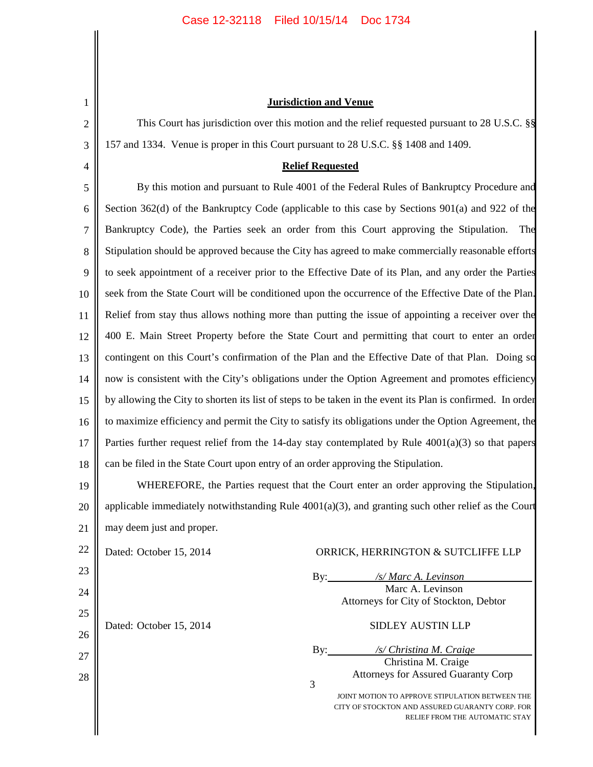1

2

3

4

# **Jurisdiction and Venue**

This Court has jurisdiction over this motion and the relief requested pursuant to 28 U.S.C. §§ 157 and 1334. Venue is proper in this Court pursuant to 28 U.S.C. §§ 1408 and 1409.

### **Relief Requested**

5 6 7 8 9 10 11 12 13 14 15 16 17 18 By this motion and pursuant to Rule 4001 of the Federal Rules of Bankruptcy Procedure and Section 362(d) of the Bankruptcy Code (applicable to this case by Sections 901(a) and 922 of the Bankruptcy Code), the Parties seek an order from this Court approving the Stipulation. The Stipulation should be approved because the City has agreed to make commercially reasonable efforts to seek appointment of a receiver prior to the Effective Date of its Plan, and any order the Parties seek from the State Court will be conditioned upon the occurrence of the Effective Date of the Plan. Relief from stay thus allows nothing more than putting the issue of appointing a receiver over the 400 E. Main Street Property before the State Court and permitting that court to enter an order contingent on this Court's confirmation of the Plan and the Effective Date of that Plan. Doing so now is consistent with the City's obligations under the Option Agreement and promotes efficiency by allowing the City to shorten its list of steps to be taken in the event its Plan is confirmed. In order to maximize efficiency and permit the City to satisfy its obligations under the Option Agreement, the Parties further request relief from the 14-day stay contemplated by Rule 4001(a)(3) so that papers can be filed in the State Court upon entry of an order approving the Stipulation.

19 20 21 WHEREFORE, the Parties request that the Court enter an order approving the Stipulation, applicable immediately notwithstanding Rule  $4001(a)(3)$ , and granting such other relief as the Court may deem just and proper.

22 23 24 25 26 27  $\begin{array}{c|c|c|c} \hline \end{array}$  3 JOINT MOTION TO APPROVE STIPULATION BETWEEN THE CITY OF STOCKTON AND ASSURED GUARANTY CORP. FOR RELIEF FROM THE AUTOMATIC STAY Dated: October 15, 2014 ORRICK, HERRINGTON & SUTCLIFFE LLP By: */s/ Marc A. Levinson* Marc A. Levinson Attorneys for City of Stockton, Debtor Dated: October 15, 2014 SIDLEY AUSTIN LLP By: */s/ Christina M. Craige* Christina M. Craige Attorneys for Assured Guaranty Corp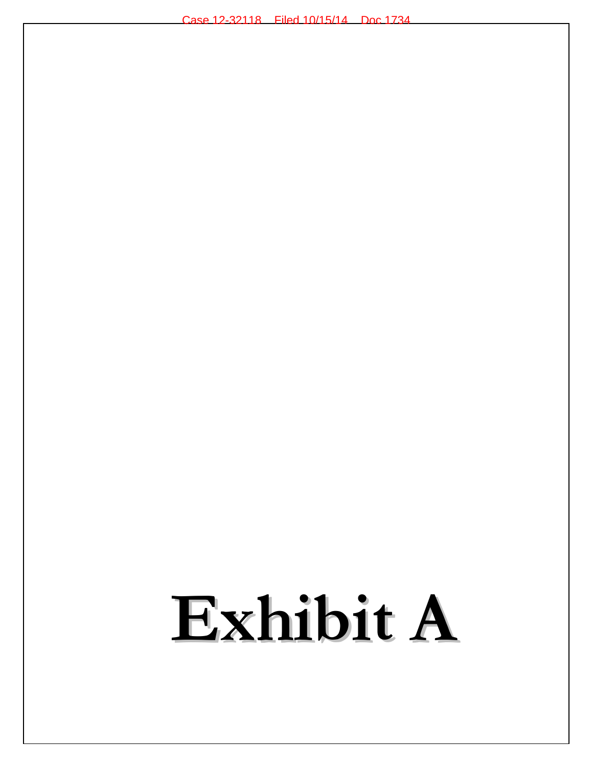# Exhibit A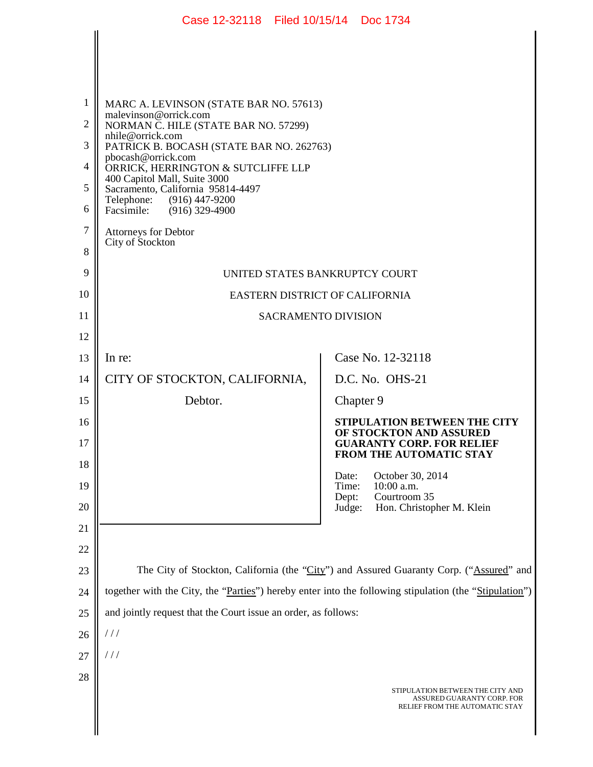|                     | Case 12-32118 Filed 10/15/14 Doc 1734                                                                  |                                                                                             |  |
|---------------------|--------------------------------------------------------------------------------------------------------|---------------------------------------------------------------------------------------------|--|
|                     |                                                                                                        |                                                                                             |  |
|                     |                                                                                                        |                                                                                             |  |
|                     |                                                                                                        |                                                                                             |  |
| 1<br>$\overline{2}$ | MARC A. LEVINSON (STATE BAR NO. 57613)<br>malevinson@orrick.com                                        |                                                                                             |  |
| 3                   | NORMAN C. HILE (STATE BAR NO. 57299)<br>nhile@orrick.com<br>PATRICK B. BOCASH (STATE BAR NO. 262763)   |                                                                                             |  |
| 4                   | pbocash@orrick.com<br>ORRICK, HERRINGTON & SUTCLIFFE LLP                                               |                                                                                             |  |
| 5                   | 400 Capitol Mall, Suite 3000<br>Sacramento, California 95814-4497                                      |                                                                                             |  |
| 6                   | Telephone: (916) 447-9200<br>Facsimile: (916) 329-4900                                                 |                                                                                             |  |
| $\overline{7}$      | <b>Attorneys for Debtor</b><br>City of Stockton                                                        |                                                                                             |  |
| 8                   |                                                                                                        |                                                                                             |  |
| 9                   | UNITED STATES BANKRUPTCY COURT                                                                         |                                                                                             |  |
| 10                  | EASTERN DISTRICT OF CALIFORNIA                                                                         |                                                                                             |  |
| 11                  | <b>SACRAMENTO DIVISION</b>                                                                             |                                                                                             |  |
| 12                  |                                                                                                        |                                                                                             |  |
| 13                  | In re:                                                                                                 | Case No. 12-32118                                                                           |  |
| 14                  | CITY OF STOCKTON, CALIFORNIA,                                                                          | D.C. No. OHS-21                                                                             |  |
| 15                  | Debtor.                                                                                                | Chapter 9                                                                                   |  |
| 16<br>17            |                                                                                                        | STIPULATION BETWEEN THE CITY<br>OF STOCKTON AND ASSURED<br><b>GUARANTY CORP. FOR RELIEF</b> |  |
| 18                  |                                                                                                        | <b>FROM THE AUTOMATIC STAY</b>                                                              |  |
| 19                  |                                                                                                        | October 30, 2014<br>Date:<br>Time:<br>10:00 a.m.                                            |  |
| 20                  |                                                                                                        | Courtroom 35<br>Dept:<br>Judge:<br>Hon. Christopher M. Klein                                |  |
| 21                  |                                                                                                        |                                                                                             |  |
| 22                  |                                                                                                        |                                                                                             |  |
| 23                  | The City of Stockton, California (the "City") and Assured Guaranty Corp. ("Assured" and                |                                                                                             |  |
| 24                  | together with the City, the "Parties") hereby enter into the following stipulation (the "Stipulation") |                                                                                             |  |
| 25                  | and jointly request that the Court issue an order, as follows:                                         |                                                                                             |  |
| 26                  | 111                                                                                                    |                                                                                             |  |
| 27                  | 111                                                                                                    |                                                                                             |  |
| 28                  |                                                                                                        | STIPULATION BETWEEN THE CITY AND                                                            |  |
|                     |                                                                                                        | ASSURED GUARANTY CORP. FOR<br>RELIEF FROM THE AUTOMATIC STAY                                |  |
|                     |                                                                                                        |                                                                                             |  |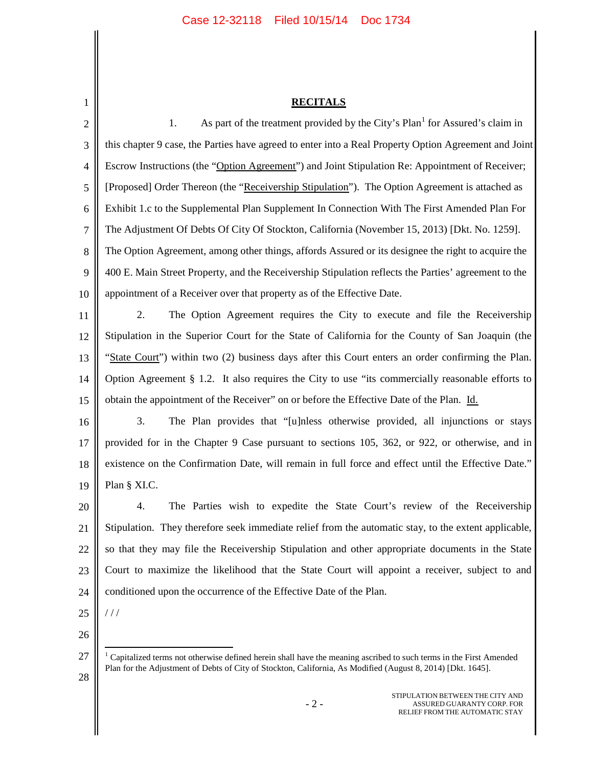# **RECITALS**

2 3 4 5 6 7 8 9 10 11 12 13 14 15 16 17 18 19 20 21 22 23 24 1. As part of the treatment provided by the City's Plan<sup>1</sup> for Assured's claim in this chapter 9 case, the Parties have agreed to enter into a Real Property Option Agreement and Joint Escrow Instructions (the "Option Agreement") and Joint Stipulation Re: Appointment of Receiver; [Proposed] Order Thereon (the "Receivership Stipulation"). The Option Agreement is attached as Exhibit 1.c to the Supplemental Plan Supplement In Connection With The First Amended Plan For The Adjustment Of Debts Of City Of Stockton, California (November 15, 2013) [Dkt. No. 1259]. The Option Agreement, among other things, affords Assured or its designee the right to acquire the 400 E. Main Street Property, and the Receivership Stipulation reflects the Parties' agreement to the appointment of a Receiver over that property as of the Effective Date. 2. The Option Agreement requires the City to execute and file the Receivership Stipulation in the Superior Court for the State of California for the County of San Joaquin (the "State Court") within two (2) business days after this Court enters an order confirming the Plan. Option Agreement § 1.2. It also requires the City to use "its commercially reasonable efforts to obtain the appointment of the Receiver" on or before the Effective Date of the Plan. Id. 3. The Plan provides that "[u]nless otherwise provided, all injunctions or stays provided for in the Chapter 9 Case pursuant to sections 105, 362, or 922, or otherwise, and in existence on the Confirmation Date, will remain in full force and effect until the Effective Date." Plan § XI.C. 4. The Parties wish to expedite the State Court's review of the Receivership Stipulation. They therefore seek immediate relief from the automatic stay, to the extent applicable, so that they may file the Receivership Stipulation and other appropriate documents in the State Court to maximize the likelihood that the State Court will appoint a receiver, subject to and conditioned upon the occurrence of the Effective Date of the Plan.

25 26 / / /

28

1

STIPULATION BETWEEN THE CITY AND ASSURED GUARANTY CORP. FOR RELIEF FROM THE AUTOMATIC STAY

<sup>27</sup> <sup>1</sup> Capitalized terms not otherwise defined herein shall have the meaning ascribed to such terms in the First Amended Plan for the Adjustment of Debts of City of Stockton, California, As Modified (August 8, 2014) [Dkt. 1645].